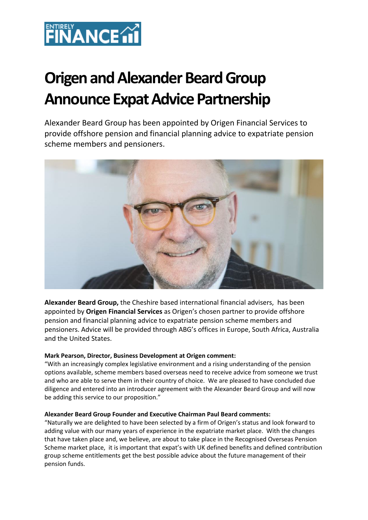

# **Origen and Alexander Beard Group Announce Expat Advice Partnership**

Alexander Beard Group has been appointed by Origen Financial Services to provide offshore pension and financial planning advice to expatriate pension scheme members and pensioners.



**Alexander Beard Group,** the Cheshire based international financial advisers, has been appointed by **Origen Financial Services** as Origen's chosen partner to provide offshore pension and financial planning advice to expatriate pension scheme members and pensioners. Advice will be provided through ABG's offices in Europe, South Africa, Australia and the United States.

## **Mark Pearson, Director, Business Development at Origen comment:**

"With an increasingly complex legislative environment and a rising understanding of the pension options available, scheme members based overseas need to receive advice from someone we trust and who are able to serve them in their country of choice. We are pleased to have concluded due diligence and entered into an introducer agreement with the Alexander Beard Group and will now be adding this service to our proposition."

#### **Alexander Beard Group Founder and Executive Chairman Paul Beard comments:**

"Naturally we are delighted to have been selected by a firm of Origen's status and look forward to adding value with our many years of experience in the expatriate market place. With the changes that have taken place and, we believe, are about to take place in the Recognised Overseas Pension Scheme market place, it is important that expat's with UK defined benefits and defined contribution group scheme entitlements get the best possible advice about the future management of their pension funds.